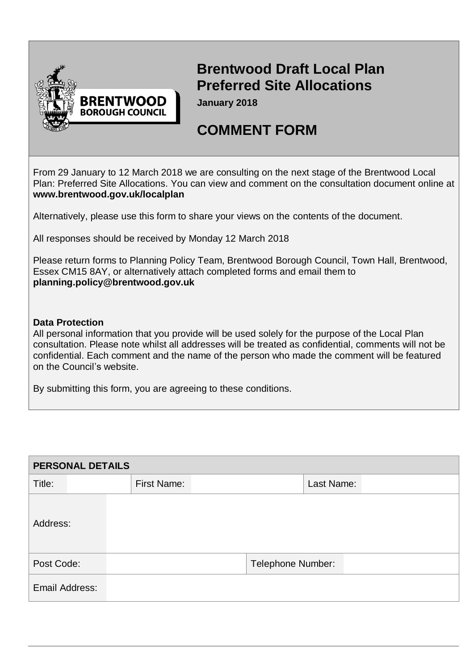

## **Brentwood Draft Local Plan Preferred Site Allocations**

**January 2018**

## **COMMENT FORM**

From 29 January to 12 March 2018 we are consulting on the next stage of the Brentwood Local Plan: Preferred Site Allocations. You can view and comment on the consultation document online at **[www.brentwood.gov.uk/localplan](http://www.brentwood.gov.uk/localplan)**

Alternatively, please use this form to share your views on the contents of the document.

All responses should be received by Monday 12 March 2018

Please return forms to Planning Policy Team, Brentwood Borough Council, Town Hall, Brentwood, Essex CM15 8AY, or alternatively attach completed forms and email them to **[planning.policy@brentwood.gov.uk](mailto:planning.policy@brentwood.gov.uk)**

## **Data Protection**

All personal information that you provide will be used solely for the purpose of the Local Plan consultation. Please note whilst all addresses will be treated as confidential, comments will not be confidential. Each comment and the name of the person who made the comment will be featured on the Council's website.

By submitting this form, you are agreeing to these conditions.

| <b>PERSONAL DETAILS</b> |  |  |                    |                          |            |  |  |
|-------------------------|--|--|--------------------|--------------------------|------------|--|--|
| Title:                  |  |  | <b>First Name:</b> |                          | Last Name: |  |  |
| Address:                |  |  |                    |                          |            |  |  |
| Post Code:              |  |  |                    | <b>Telephone Number:</b> |            |  |  |
| Email Address:          |  |  |                    |                          |            |  |  |